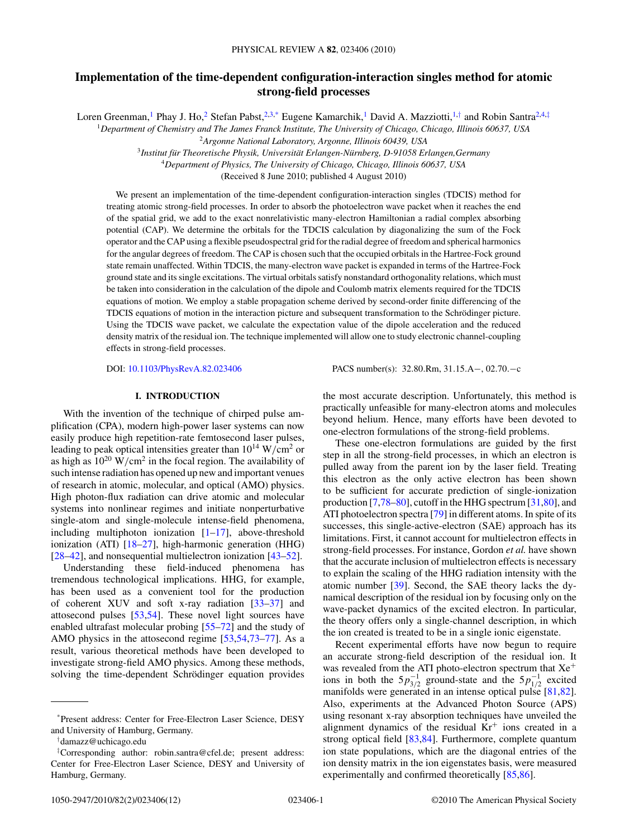# **Implementation of the time-dependent configuration-interaction singles method for atomic strong-field processes**

Loren Greenman,<sup>1</sup> Phay J. Ho,<sup>2</sup> Stefan Pabst,<sup>2,3,\*</sup> Eugene Kamarchik,<sup>1</sup> David A. Mazziotti,<sup>1,†</sup> and Robin Santra<sup>2,4,‡</sup>

<sup>1</sup>*Department of Chemistry and The James Franck Institute, The University of Chicago, Chicago, Illinois 60637, USA* <sup>2</sup>*Argonne National Laboratory, Argonne, Illinois 60439, USA*

<sup>3</sup> Institut für Theoretische Physik, Universität Erlangen-Nürnberg, D-91058 Erlangen, Germany

<sup>4</sup>*Department of Physics, The University of Chicago, Chicago, Illinois 60637, USA*

(Received 8 June 2010; published 4 August 2010)

We present an implementation of the time-dependent configuration-interaction singles (TDCIS) method for treating atomic strong-field processes. In order to absorb the photoelectron wave packet when it reaches the end of the spatial grid, we add to the exact nonrelativistic many-electron Hamiltonian a radial complex absorbing potential (CAP). We determine the orbitals for the TDCIS calculation by diagonalizing the sum of the Fock operator and the CAP using a flexible pseudospectral grid for the radial degree of freedom and spherical harmonics for the angular degrees of freedom. The CAP is chosen such that the occupied orbitals in the Hartree-Fock ground state remain unaffected. Within TDCIS, the many-electron wave packet is expanded in terms of the Hartree-Fock ground state and its single excitations. The virtual orbitals satisfy nonstandard orthogonality relations, which must be taken into consideration in the calculation of the dipole and Coulomb matrix elements required for the TDCIS equations of motion. We employ a stable propagation scheme derived by second-order finite differencing of the TDCIS equations of motion in the interaction picture and subsequent transformation to the Schrödinger picture. Using the TDCIS wave packet, we calculate the expectation value of the dipole acceleration and the reduced density matrix of the residual ion. The technique implemented will allow one to study electronic channel-coupling effects in strong-field processes.

DOI: [10.1103/PhysRevA.82.023406](http://dx.doi.org/10.1103/PhysRevA.82.023406) PACS number(s): 32*.*80*.*Rm, 31*.*15*.*A−, 02*.*70*.*−c

# **I. INTRODUCTION**

With the invention of the technique of chirped pulse amplification (CPA), modern high-power laser systems can now easily produce high repetition-rate femtosecond laser pulses, leading to peak optical intensities greater than  $10^{14}$  W/cm<sup>2</sup> or as high as  $10^{20}$  W/cm<sup>2</sup> in the focal region. The availability of such intense radiation has opened up new and important venues of research in atomic, molecular, and optical (AMO) physics. High photon-flux radiation can drive atomic and molecular systems into nonlinear regimes and initiate nonperturbative single-atom and single-molecule intense-field phenomena, including multiphoton ionization  $[1-17]$ , above-threshold ionization (ATI) [\[18–27\]](#page-9-0), high-harmonic generation (HHG) [\[28–42\]](#page-10-0), and nonsequential multielectron ionization [\[43–52\]](#page-10-0).

Understanding these field-induced phenomena has tremendous technological implications. HHG, for example, has been used as a convenient tool for the production of coherent XUV and soft x-ray radiation [\[33–37\]](#page-10-0) and attosecond pulses [\[53,54\]](#page-10-0). These novel light sources have enabled ultrafast molecular probing [\[55–72\]](#page-10-0) and the study of AMO physics in the attosecond regime [\[53,54,73–77\]](#page-10-0). As a result, various theoretical methods have been developed to investigate strong-field AMO physics. Among these methods, solving the time-dependent Schrödinger equation provides

the most accurate description. Unfortunately, this method is practically unfeasible for many-electron atoms and molecules beyond helium. Hence, many efforts have been devoted to one-electron formulations of the strong-field problems.

These one-electron formulations are guided by the first step in all the strong-field processes, in which an electron is pulled away from the parent ion by the laser field. Treating this electron as the only active electron has been shown to be sufficient for accurate prediction of single-ionization production [\[7](#page-9-0)[,78–80\]](#page-10-0), cutoff in the HHG spectrum [\[31,80\]](#page-10-0), and ATI photoelectron spectra [\[79\]](#page-10-0) in different atoms. In spite of its successes, this single-active-electron (SAE) approach has its limitations. First, it cannot account for multielectron effects in strong-field processes. For instance, Gordon *et al.* have shown that the accurate inclusion of multielectron effects is necessary to explain the scaling of the HHG radiation intensity with the atomic number [\[39\]](#page-10-0). Second, the SAE theory lacks the dynamical description of the residual ion by focusing only on the wave-packet dynamics of the excited electron. In particular, the theory offers only a single-channel description, in which the ion created is treated to be in a single ionic eigenstate.

Recent experimental efforts have now begun to require an accurate strong-field description of the residual ion. It was revealed from the ATI photo-electron spectrum that  $Xe^+$ ions in both the  $5p_{3/2}^{-1}$  ground-state and the  $5p_{1/2}^{-1}$  excited manifolds were generated in an intense optical pulse [\[81,82\]](#page-10-0). Also, experiments at the Advanced Photon Source (APS) using resonant x-ray absorption techniques have unveiled the alignment dynamics of the residual  $Kr<sup>+</sup>$  ions created in a strong optical field [\[83,84\]](#page-10-0). Furthermore, complete quantum ion state populations, which are the diagonal entries of the ion density matrix in the ion eigenstates basis, were measured experimentally and confirmed theoretically [\[85,86\]](#page-10-0).

<sup>\*</sup>Present address: Center for Free-Electron Laser Science, DESY and University of Hamburg, Germany.

<sup>†</sup> damazz@uchicago.edu

<sup>‡</sup> Corresponding author: robin.santra@cfel.de; present address: Center for Free-Electron Laser Science, DESY and University of Hamburg, Germany.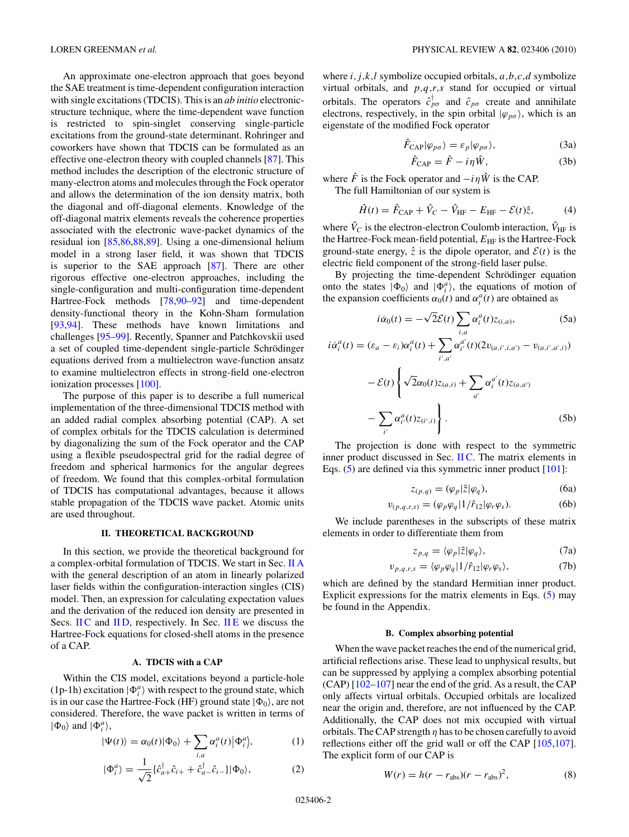<span id="page-1-0"></span>An approximate one-electron approach that goes beyond the SAE treatment is time-dependent configuration interaction with single excitations (TDCIS). This is an *ab initio* electronicstructure technique, where the time-dependent wave function is restricted to spin-singlet conserving single-particle excitations from the ground-state determinant. Rohringer and coworkers have shown that TDCIS can be formulated as an effective one-electron theory with coupled channels [\[87\]](#page-10-0). This method includes the description of the electronic structure of many-electron atoms and molecules through the Fock operator and allows the determination of the ion density matrix, both the diagonal and off-diagonal elements. Knowledge of the off-diagonal matrix elements reveals the coherence properties associated with the electronic wave-packet dynamics of the residual ion [\[85,86,88,89\]](#page-10-0). Using a one-dimensional helium model in a strong laser field, it was shown that TDCIS is superior to the SAE approach [\[87\]](#page-10-0). There are other rigorous effective one-electron approaches, including the single-configuration and multi-configuration time-dependent Hartree-Fock methods [\[78,90](#page-10-0)[–92\]](#page-11-0) and time-dependent density-functional theory in the Kohn-Sham formulation [\[93,94\]](#page-11-0). These methods have known limitations and challenges [\[95–99\]](#page-11-0). Recently, Spanner and Patchkovskii used a set of coupled time-dependent single-particle Schrödinger equations derived from a multielectron wave-function ansatz to examine multielectron effects in strong-field one-electron ionization processes [\[100\]](#page-11-0).

The purpose of this paper is to describe a full numerical implementation of the three-dimensional TDCIS method with an added radial complex absorbing potential (CAP). A set of complex orbitals for the TDCIS calculation is determined by diagonalizing the sum of the Fock operator and the CAP using a flexible pseudospectral grid for the radial degree of freedom and spherical harmonics for the angular degrees of freedom. We found that this complex-orbital formulation of TDCIS has computational advantages, because it allows stable propagation of the TDCIS wave packet. Atomic units are used throughout.

#### **II. THEORETICAL BACKGROUND**

In this section, we provide the theoretical background for a complex-orbital formulation of TDCIS. We start in Sec. II A with the general description of an atom in linearly polarized laser fields within the configuration-interaction singles (CIS) model. Then, an expression for calculating expectation values and the derivation of the reduced ion density are presented in Secs. [II C](#page-2-0) and [II D,](#page-2-0) respectively. In Sec. [II E](#page-3-0) we discuss the Hartree-Fock equations for closed-shell atoms in the presence of a CAP.

# **A. TDCIS with a CAP**

Within the CIS model, excitations beyond a particle-hole (1p-1h) excitation  $|\Phi_i^a\rangle$  with respect to the ground state, which is in our case the Hartree-Fock (HF) ground state  $|\Phi_0\rangle$ , are not considered. Therefore, the wave packet is written in terms of  $|\Phi_0\rangle$  and  $|\Phi_i^a\rangle$ ,

$$
|\Psi(t)\rangle = \alpha_0(t)|\Phi_0\rangle + \sum_{i,a} \alpha_i^a(t) |\Phi_i^a\rangle, \tag{1}
$$

$$
|\Phi_i^a\rangle = \frac{1}{\sqrt{2}} \{ \hat{c}_{a+}^\dagger \hat{c}_{i+} + \hat{c}_{a-}^\dagger \hat{c}_{i-} |\Phi_0\rangle, \tag{2}
$$

where *i,j,k,l* symbolize occupied orbitals, *a,b,c,d* symbolize virtual orbitals, and *p,q,r,s* stand for occupied or virtual orbitals. The operators  $\hat{c}_{p\sigma}^{\dagger}$  and  $\hat{c}_{p\sigma}$  create and annihilate electrons, respectively, in the spin orbital  $|\varphi_{p\sigma}\rangle$ , which is an eigenstate of the modified Fock operator

$$
\hat{F}_{\text{CAP}}|\varphi_{p\sigma}\rangle = \varepsilon_p|\varphi_{p\sigma}\rangle,\tag{3a}
$$

$$
\hat{F}_{\text{CAP}} = \hat{F} - i\eta \hat{W},\tag{3b}
$$

where  $\hat{F}$  is the Fock operator and  $-i\eta \hat{W}$  is the CAP. The full Hamiltonian of our system is

$$
\hat{H}(t) = \hat{F}_{\text{CAP}} + \hat{V}_C - \hat{V}_{\text{HF}} - E_{\text{HF}} - \mathcal{E}(t)\hat{z},\tag{4}
$$

where  $\hat{V}_C$  is the electron-electron Coulomb interaction,  $\hat{V}_{HF}$  is the Hartree-Fock mean-field potential,  $E_{HF}$  is the Hartree-Fock ground-state energy,  $\hat{z}$  is the dipole operator, and  $\mathcal{E}(t)$  is the electric field component of the strong-field laser pulse.

By projecting the time-dependent Schrödinger equation onto the states  $|\Phi_0\rangle$  and  $|\Phi_i^a\rangle$ , the equations of motion of the expansion coefficients  $\alpha_0(t)$  and  $\alpha_i^a(t)$  are obtained as

$$
i\dot{\alpha}_0(t) = -\sqrt{2}\mathcal{E}(t)\sum_{i,a}\alpha_i^a(t)z_{(i,a)},
$$
\n(5a)

$$
i\dot{\alpha}_i^a(t) = (\varepsilon_a - \varepsilon_i)\alpha_i^a(t) + \sum_{i',a'} \alpha_{i'}^{a'}(t)(2v_{(a,i',i,a')} - v_{(a,i',a',i)})
$$

$$
- \mathcal{E}(t) \left\{ \sqrt{2}\alpha_0(t)z_{(a,i)} + \sum_{a'} \alpha_i^{a'}(t)z_{(a,a')}
$$

$$
- \sum_{i'} \alpha_{i'}^{a}(t)z_{(i',i)} \right\}.
$$
(5b)

The projection is done with respect to the symmetric inner product discussed in Sec. [II C.](#page-2-0) The matrix elements in Eqs. (5) are defined via this symmetric inner product [\[101\]](#page-11-0):

$$
z_{(p,q)} = (\varphi_p | \hat{z} | \varphi_q), \tag{6a}
$$

$$
v_{(p,q,r,s)} = (\varphi_p \varphi_q | 1/\hat{r}_{12} | \varphi_r \varphi_s). \tag{6b}
$$

We include parentheses in the subscripts of these matrix elements in order to differentiate them from

$$
z_{p,q} = \langle \varphi_p | \hat{z} | \varphi_q \rangle,\tag{7a}
$$

$$
v_{p,q,r,s} = \langle \varphi_p \varphi_q | 1/\hat{r}_{12} | \varphi_r \varphi_s \rangle, \tag{7b}
$$

which are defined by the standard Hermitian inner product. Explicit expressions for the matrix elements in Eqs. (5) may be found in the Appendix.

# **B. Complex absorbing potential**

When the wave packet reaches the end of the numerical grid, artificial reflections arise. These lead to unphysical results, but can be suppressed by applying a complex absorbing potential (CAP) [\[102–107\]](#page-11-0) near the end of the grid. As a result, the CAP only affects virtual orbitals. Occupied orbitals are localized near the origin and, therefore, are not influenced by the CAP. Additionally, the CAP does not mix occupied with virtual orbitals. The CAP strength *η* has to be chosen carefully to avoid reflections either off the grid wall or off the CAP [\[105,107\]](#page-11-0). The explicit form of our CAP is

$$
W(r) = h(r - r_{\text{abs}})(r - r_{\text{abs}})^2,
$$
 (8)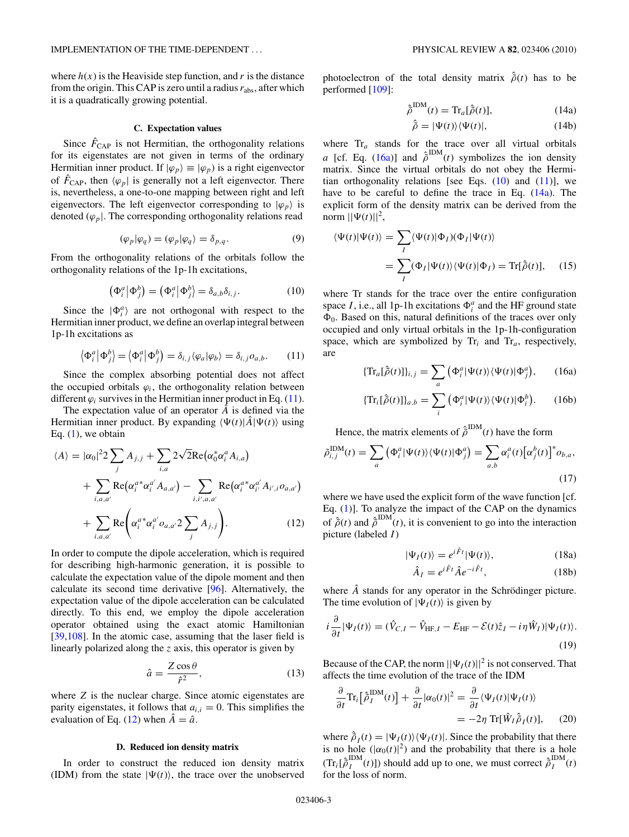<span id="page-2-0"></span>where  $h(x)$  is the Heaviside step function, and  $r$  is the distance from the origin. This CAP is zero until a radius  $r_{\text{abs}}$ , after which it is a quadratically growing potential.

#### **C. Expectation values**

Since  $\hat{F}_{\text{CAP}}$  is not Hermitian, the orthogonality relations for its eigenstates are not given in terms of the ordinary Hermitian inner product. If  $|\varphi_p\rangle \equiv |\varphi_p\rangle$  is a right eigenvector of  $\hat{F}_{\text{CAP}}$ , then  $\langle \varphi_p |$  is generally not a left eigenvector. There is, nevertheless, a one-to-one mapping between right and left eigenvectors. The left eigenvector corresponding to  $|\varphi_p\rangle$  is denoted  $(\varphi_p)$ . The corresponding orthogonality relations read

$$
(\varphi_p|\varphi_q) = (\varphi_p|\varphi_q) = \delta_{p,q}.
$$
\n(9)

From the orthogonality relations of the orbitals follow the orthogonality relations of the 1p-1h excitations,

$$
\left(\Phi_i^a \middle| \Phi_j^b\right) = \left(\Phi_i^a \middle| \Phi_j^b\right) = \delta_{a,b}\delta_{i,j}.\tag{10}
$$

Since the  $|\Phi_i^a\rangle$  are not orthogonal with respect to the Hermitian inner product, we define an overlap integral between 1p-1h excitations as

$$
\langle \Phi_i^a | \Phi_j^b \rangle = \langle \Phi_i^a | \Phi_j^b \rangle = \delta_{i,j} \langle \varphi_a | \varphi_b \rangle = \delta_{i,j} o_{a,b}.
$$
 (11)

Since the complex absorbing potential does not affect the occupied orbitals  $\varphi_i$ , the orthogonality relation between different  $\varphi_i$  survives in the Hermitian inner product in Eq. (11).

The expectation value of an operator  $\hat{A}$  is defined via the Hermitian inner product. By expanding  $\langle \Psi(t) | \hat{A} | \Psi(t) \rangle$  using Eq.  $(1)$ , we obtain

$$
\langle A \rangle = |\alpha_0|^2 2 \sum_j A_{j,j} + \sum_{i,a} 2\sqrt{2} \text{Re}(\alpha_0^* \alpha_i^a A_{i,a})
$$
  
+ 
$$
\sum_{i,a,a'} \text{Re}(\alpha_i^{a*} \alpha_i^{a'} A_{a,a'}) - \sum_{i,i',a,a'} \text{Re}(\alpha_i^{a*} \alpha_{i'}^{a'} A_{i',i} o_{a,a'})
$$
  
+ 
$$
\sum_{i,a,a'} \text{Re}(\alpha_i^{a*} \alpha_i^{a'} o_{a,a'} 2 \sum_j A_{j,j}).
$$
 (12)

In order to compute the dipole acceleration, which is required for describing high-harmonic generation, it is possible to calculate the expectation value of the dipole moment and then calculate its second time derivative [\[96\]](#page-11-0). Alternatively, the expectation value of the dipole acceleration can be calculated directly. To this end, we employ the dipole acceleration operator obtained using the exact atomic Hamiltonian [\[39](#page-10-0)[,108\]](#page-11-0). In the atomic case, assuming that the laser field is linearly polarized along the *z* axis, this operator is given by

$$
\hat{a} = \frac{Z\cos\theta}{\hat{r}^2},\tag{13}
$$

where *Z* is the nuclear charge. Since atomic eigenstates are parity eigenstates, it follows that  $a_{i,i} = 0$ . This simplifies the evaluation of Eq. (12) when  $\hat{A} = \hat{a}$ .

#### **D. Reduced ion density matrix**

In order to construct the reduced ion density matrix (IDM) from the state  $|\Psi(t)\rangle$ , the trace over the unobserved

photoelectron of the total density matrix  $\hat{\rho}(t)$  has to be performed [\[109\]](#page-11-0):

$$
\hat{\tilde{\rho}}^{\text{IDM}}(t) = \text{Tr}_a[\hat{\tilde{\rho}}(t)],\tag{14a}
$$

$$
\hat{\tilde{\rho}} = |\Psi(t)\rangle\langle\Psi(t)|,\tag{14b}
$$

where  $Tr_a$  stands for the trace over all virtual orbitals *a* [cf. Eq. (16a)] and  $\hat{\rho}^{\text{IDM}}(t)$  symbolizes the ion density matrix. Since the virtual orbitals do not obey the Hermitian orthogonality relations [see Eqs.  $(10)$  and  $(11)$ ], we have to be careful to define the trace in Eq.  $(14a)$ . The explicit form of the density matrix can be derived from the norm  $||\Psi(t)||^2$ ,

$$
\langle \Psi(t) | \Psi(t) \rangle = \sum_{I} \langle \Psi(t) | \Phi_{I} \rangle (\Phi_{I} | \Psi(t) \rangle
$$
  
= 
$$
\sum_{I} \langle \Phi_{I} | \Psi(t) \rangle \langle \Psi(t) | \Phi_{I} \rangle = \text{Tr}[\hat{\rho}(t)], \quad (15)
$$

where Tr stands for the trace over the entire configuration space *I*, i.e., all 1p-1h excitations  $\Phi_i^a$  and the HF ground state  $\Phi_0$ . Based on this, natural definitions of the traces over only occupied and only virtual orbitals in the 1p-1h-configuration space, which are symbolized by Tr*<sup>i</sup>* and Tr*a*, respectively, are

$$
\{\operatorname{Tr}_{a}[\hat{\tilde{\rho}}(t)]\}_{i,j} = \sum_{a} \left(\Phi_{i}^{a} |\Psi(t)\rangle \langle \Psi(t)| \Phi_{j}^{a}\right), \qquad (16a)
$$

$$
\{\mathrm{Tr}_{i}[\hat{\beta}(t)]\}_{a,b} = \sum_{i} (\Phi_{i}^{a}|\Psi(t)\rangle\langle\Psi(t)|\Phi_{i}^{b}). \qquad (16b)
$$

Hence, the matrix elements of  $\hat{\rho}^{\text{IDM}}(t)$  have the form

$$
\tilde{\rho}_{i,j}^{\text{IDM}}(t) = \sum_{a} \left( \Phi_i^a | \Psi(t) \rangle \langle \Psi(t) | \Phi_j^a \right) = \sum_{a,b} \alpha_i^a(t) \left[ \alpha_j^b(t) \right]^* o_{b,a},\tag{17}
$$

where we have used the explicit form of the wave function [cf. Eq. [\(1\)](#page-1-0)]. To analyze the impact of the CAP on the dynamics of  $\hat{\rho}(t)$  and  $\hat{\rho}^{\text{IDM}}(t)$ , it is convenient to go into the interaction picture (labeled *I* )

$$
|\Psi_I(t)\rangle = e^{i\hat{F}t}|\Psi(t)\rangle, \qquad (18a)
$$

$$
\hat{A}_I = e^{i\hat{F}t} \hat{A} e^{-i\hat{F}t},\tag{18b}
$$

where  $\hat{A}$  stands for any operator in the Schrödinger picture. The time evolution of  $|\Psi_I(t)\rangle$  is given by

$$
i\frac{\partial}{\partial t}|\Psi_I(t)\rangle = (\hat{V}_{C,I} - \hat{V}_{\text{HF},I} - E_{\text{HF}} - \mathcal{E}(t)\hat{z}_I - i\eta \hat{W}_I)|\Psi_I(t)\rangle.
$$
\n(19)

Because of the CAP, the norm  $||\Psi_I(t)||^2$  is not conserved. That affects the time evolution of the trace of the IDM

$$
\frac{\partial}{\partial t} \text{Tr}_{i} \left[ \hat{\rho}_{I}^{\text{IDM}}(t) \right] + \frac{\partial}{\partial t} |\alpha_{0}(t)|^{2} = \frac{\partial}{\partial t} \langle \Psi_{I}(t) | \Psi_{I}(t) \rangle
$$
\n
$$
= -2\eta \text{Tr}[\hat{W}_{I} \hat{\rho}_{I}(t)], \quad (20)
$$

where  $\hat{\rho}_I(t) = |\Psi_I(t)\rangle \langle \Psi_I(t)|$ . Since the probability that there is no hole  $(|\alpha_0(t)|^2)$  and the probability that there is a hole  $(Tr_i[\hat{\beta}_I^{\text{IDM}}(t)])$  should add up to one, we must correct  $\hat{\beta}_I^{\text{IDM}}(t)$ for the loss of norm.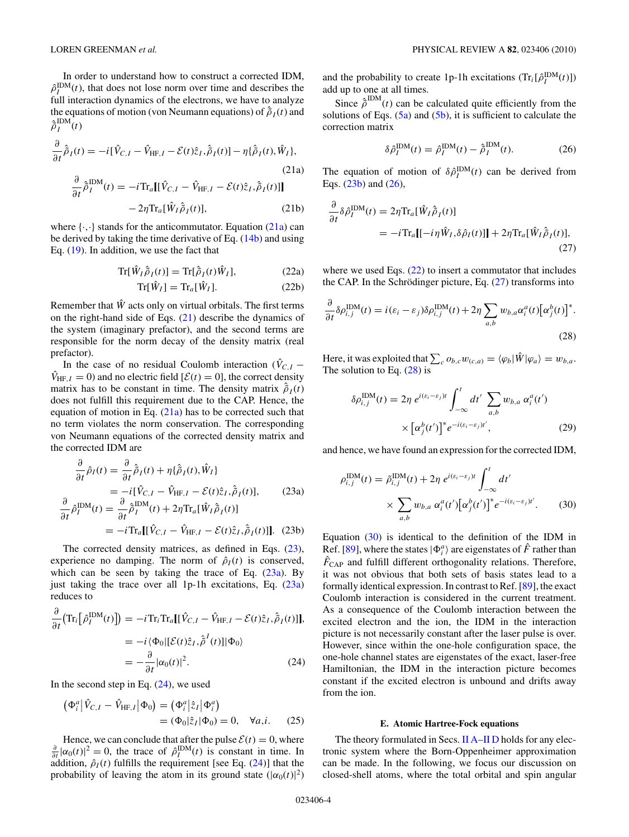<span id="page-3-0"></span>In order to understand how to construct a corrected IDM,  $\hat{\rho}_I^{\text{IDM}}(t)$ , that does not lose norm over time and describes the full interaction dynamics of the electrons, we have to analyze the equations of motion (von Neumann equations) of  $\hat{\rho}_I(t)$  and  $\hat{\tilde{\rho}}_I^{\text{IDM}}(t)$ 

$$
\frac{\partial}{\partial t}\hat{\tilde{\rho}}_I(t) = -i[\hat{V}_{C,I} - \hat{V}_{\text{HF},I} - \mathcal{E}(t)\hat{z}_I, \hat{\tilde{\rho}}_I(t)] - \eta\{\hat{\tilde{\rho}}_I(t), \hat{W}_I\},
$$
\n(21a)\n
$$
\frac{\partial}{\partial t}\hat{\tilde{\rho}}_I^{\text{IDM}}(t) = -i\text{Tr}_a[[\hat{V}_{C,I} - \hat{V}_{\text{HF},I} - \mathcal{E}(t)\hat{z}_I, \hat{\tilde{\rho}}_I(t)]] - 2\eta\text{Tr}_a[\hat{W}_I\hat{\tilde{\rho}}_I(t)],
$$
\n(21b)

where  $\{\cdot,\cdot\}$  stands for the anticommutator. Equation (21a) can be derived by taking the time derivative of Eq. [\(14b\)](#page-2-0) and using Eq. [\(19\)](#page-2-0). In addition, we use the fact that

$$
Tr[\hat{W}_I \hat{\tilde{\rho}}_I(t)] = Tr[\hat{\tilde{\rho}}_I(t)\hat{W}_I],
$$
 (22a)

$$
Tr[\hat{W}_I] = Tr_a[\hat{W}_I].
$$
 (22b)

Remember that  $\hat{W}$  acts only on virtual orbitals. The first terms on the right-hand side of Eqs. (21) describe the dynamics of the system (imaginary prefactor), and the second terms are responsible for the norm decay of the density matrix (real prefactor).

In the case of no residual Coulomb interaction ( $\hat{V}_{C,I}$  –  $\hat{V}_{HF,I} = 0$ ) and no electric field  $[\mathcal{E}(t) = 0]$ , the correct density matrix has to be constant in time. The density matrix  $\hat{\rho}_I(t)$ does not fulfill this requirement due to the CAP. Hence, the equation of motion in Eq.  $(21a)$  has to be corrected such that no term violates the norm conservation. The corresponding von Neumann equations of the corrected density matrix and the corrected IDM are

$$
\frac{\partial}{\partial t}\hat{\rho}_I(t) = \frac{\partial}{\partial t}\tilde{\rho}_I(t) + \eta\{\tilde{\rho}_I(t), \hat{W}_I\} \n= -i[\hat{V}_{C,I} - \hat{V}_{HF,I} - \mathcal{E}(t)\hat{z}_I, \tilde{\rho}_I(t)],
$$
\n(23a)  
\n
$$
\frac{\partial}{\partial t}\hat{\rho}_I^{IDM}(t) = \frac{\partial}{\partial t}\tilde{\rho}_I^{IDM}(t) + 2\eta \text{Tr}_a[\hat{W}_I \tilde{\rho}_I(t)]
$$

$$
= -i \operatorname{Tr}_a [[\hat{V}_{C,I} - \hat{V}_{\text{HF},I} - \mathcal{E}(t)\hat{z}_I, \hat{\tilde{\rho}}_I(t)]]. (23b)
$$

The corrected density matrices, as defined in Eqs. (23), experience no damping. The norm of  $\hat{\rho}_I(t)$  is conserved, which can be seen by taking the trace of Eq.  $(23a)$ . By just taking the trace over all 1p-1h excitations, Eq. (23a) reduces to

$$
\frac{\partial}{\partial t} \left( \text{Tr}_{i} \left[ \hat{\rho}_{I}^{\text{IDM}}(t) \right] \right) = -i \text{Tr}_{i} \text{Tr}_{a} \left[ \left[ \hat{V}_{C,I} - \hat{V}_{\text{HF},I} - \mathcal{E}(t) \hat{z}_{I}, \hat{\rho}_{I}(t) \right] \right],
$$
\n
$$
= -i \langle \Phi_{0} | [\mathcal{E}(t) \hat{z}_{I}, \hat{\rho}^{I}(t)] | \Phi_{0} \rangle
$$
\n
$$
= -\frac{\partial}{\partial t} |\alpha_{0}(t)|^{2}. \tag{24}
$$

In the second step in Eq.  $(24)$ , we used

$$
\begin{aligned} \left(\Phi_i^a\middle|\hat{V}_{C,I} - \hat{V}_{\text{HF},I}\middle|\Phi_0\right) &= \left(\Phi_i^a\middle|\hat{z}_I\middle|\Phi_i^a\right) \\ &= \left(\Phi_0\middle|\hat{z}_I\middle|\Phi_0\right) = 0, \quad \forall a,i. \end{aligned} \tag{25}
$$

Hence, we can conclude that after the pulse  $\mathcal{E}(t) = 0$ , where  $\frac{\partial}{\partial t}$  | $\alpha_0(t)$ |<sup>2</sup> = 0, the trace of  $\hat{\rho}_I^{\text{IDM}}(t)$  is constant in time. In addition,  $\hat{\rho}_I(t)$  fulfills the requirement [see Eq. (24)] that the probability of leaving the atom in its ground state  $(|\alpha_0(t)|^2)$ 

and the probability to create 1p-1h excitations  $(Tr_i[\hat{\rho}_I^{\text{IDM}}(t)])$ add up to one at all times.

Since  $\hat{\rho}^{\text{IDM}}(t)$  can be calculated quite efficiently from the solutions of Eqs.  $(5a)$  and  $(5b)$ , it is sufficient to calculate the correction matrix

$$
\delta \hat{\rho}_I^{\text{IDM}}(t) = \hat{\rho}_I^{\text{IDM}}(t) - \hat{\tilde{\rho}}_I^{\text{IDM}}(t). \tag{26}
$$

The equation of motion of  $\delta \hat{\rho}_I^{\text{IDM}}(t)$  can be derived from Eqs.  $(23b)$  and  $(26)$ ,

$$
\frac{\partial}{\partial t} \delta \hat{\rho}_I^{\text{IDM}}(t) = 2\eta \text{Tr}_a[\hat{W}_I \hat{\rho}_I(t)]
$$
  
=  $-i \text{Tr}_a[[-i\eta \hat{W}_I, \delta \hat{\rho}_I(t)]] + 2\eta \text{Tr}_a[\hat{W}_I \hat{\rho}_I(t)],$  (27)

where we used Eqs.  $(22)$  to insert a commutator that includes the CAP. In the Schrödinger picture, Eq.  $(27)$  transforms into

$$
\frac{\partial}{\partial t} \delta \rho_{i,j}^{\text{IDM}}(t) = i(\varepsilon_i - \varepsilon_j) \delta \rho_{i,j}^{\text{IDM}}(t) + 2\eta \sum_{a,b} w_{b,a} \alpha_i^a(t) [\alpha_j^b(t)]^*.
$$
\n(28)

Here, it was exploited that  $\sum_{c} o_{b,c} w_{(c,a)} = \langle \varphi_b | \hat{W} | \varphi_a \rangle = w_{b,a}$ . The solution to Eq.  $(28)$  is

$$
\delta \rho_{i,j}^{\text{IDM}}(t) = 2\eta \ e^{i(\varepsilon_i - \varepsilon_j)t} \int_{-\infty}^t dt' \sum_{a,b} w_{b,a} \ \alpha_i^a(t')
$$

$$
\times \left[ \alpha_j^b(t') \right]^* e^{-i(\varepsilon_i - \varepsilon_j)t'}, \tag{29}
$$

and hence, we have found an expression for the corrected IDM,

$$
\rho_{i,j}^{\text{IDM}}(t) = \tilde{\rho}_{i,j}^{\text{IDM}}(t) + 2\eta e^{i(\varepsilon_i - \varepsilon_j)t} \int_{-\infty}^{t} dt'
$$

$$
\times \sum_{a,b} w_{b,a} \alpha_i^a(t') [\alpha_j^b(t')]^* e^{-i(\varepsilon_i - \varepsilon_j)t'}.
$$
(30)

Equation (30) is identical to the definition of the IDM in Ref. [\[89\]](#page-10-0), where the states  $|\Phi_i^a\rangle$  are eigenstates of  $\hat{F}$  rather than  $\hat{F}_{\text{CAP}}$  and fulfill different orthogonality relations. Therefore, it was not obvious that both sets of basis states lead to a formally identical expression. In contrast to Ref. [\[89\]](#page-10-0), the exact Coulomb interaction is considered in the current treatment. As a consequence of the Coulomb interaction between the excited electron and the ion, the IDM in the interaction picture is not necessarily constant after the laser pulse is over. However, since within the one-hole configuration space, the one-hole channel states are eigenstates of the exact, laser-free Hamiltonian, the IDM in the interaction picture becomes constant if the excited electron is unbound and drifts away from the ion.

#### **E. Atomic Hartree-Fock equations**

The theory formulated in Secs. [II A](#page-1-0)[–II D](#page-2-0) holds for any electronic system where the Born-Oppenheimer approximation can be made. In the following, we focus our discussion on closed-shell atoms, where the total orbital and spin angular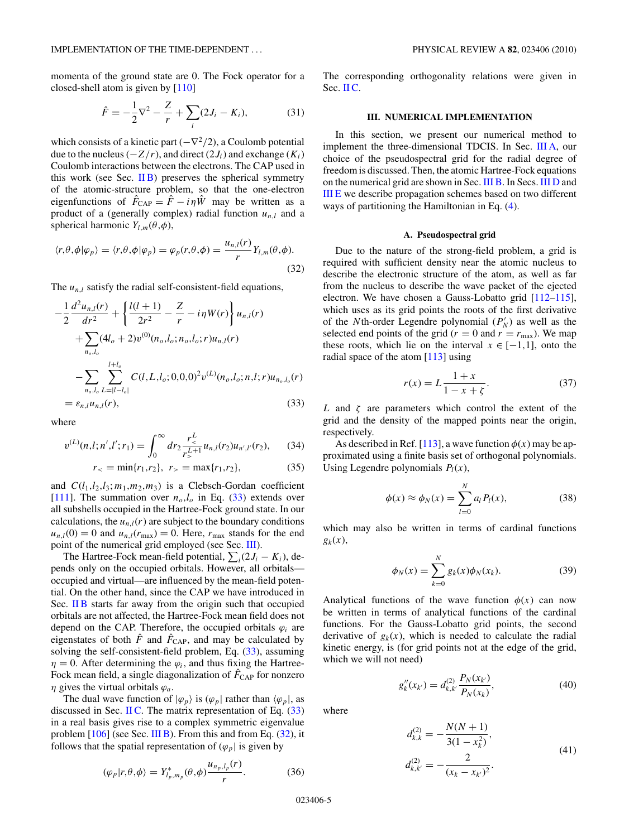<span id="page-4-0"></span>momenta of the ground state are 0. The Fock operator for a closed-shell atom is given by [\[110\]](#page-11-0)

$$
\hat{F} = -\frac{1}{2}\nabla^2 - \frac{Z}{r} + \sum_i (2J_i - K_i),
$$
\n(31)

which consists of a kinetic part  $(-\nabla^2/2)$ , a Coulomb potential due to the nucleus  $(-Z/r)$ , and direct  $(2J<sub>i</sub>)$  and exchange  $(K<sub>i</sub>)$ Coulomb interactions between the electrons. The CAP used in this work (see Sec.  $\overline{I}$  IB) preserves the spherical symmetry of the atomic-structure problem, so that the one-electron eigenfunctions of  $\hat{F}_{\text{CAP}} = \hat{F} - i\eta \hat{W}$  may be written as a product of a (generally complex) radial function  $u_{n,l}$  and a spherical harmonic  $Y_{l,m}(\theta,\phi)$ ,

$$
\langle r, \theta, \phi | \varphi_p \rangle = \langle r, \theta, \phi | \varphi_p \rangle = \varphi_p(r, \theta, \phi) = \frac{u_{n,l}(r)}{r} Y_{l,m}(\theta, \phi).
$$
\n(32)

The  $u_{n,l}$  satisfy the radial self-consistent-field equations,

$$
-\frac{1}{2}\frac{d^2u_{n,l}(r)}{dr^2} + \left\{\frac{l(l+1)}{2r^2} - \frac{Z}{r} - i\eta W(r)\right\}u_{n,l}(r) + \sum_{n_o,l_o} (4l_o + 2)v^{(0)}(n_o, l_o; n_o, l_o; r)u_{n,l}(r) - \sum_{n_o,l_o} \sum_{L=|l-l_o|}^{l+l_o} C(l, L, l_o; 0, 0, 0)^2 v^{(L)}(n_o, l_o; n, l; r)u_{n_o, l_o}(r) = \varepsilon_{n,l}u_{n,l}(r),
$$
(33)

where

$$
v^{(L)}(n,l;n',l';r_1) = \int_0^\infty dr_2 \frac{r_<^L}{r_>^{L+1}} u_{n,l}(r_2) u_{n',l'}(r_2), \qquad (34)
$$

$$
r_{<} = \min\{r_1, r_2\}, \ r_{>} = \max\{r_1, r_2\},\tag{35}
$$

and  $C(l_1, l_2, l_3; m_1, m_2, m_3)$  is a Clebsch-Gordan coefficient [\[111\]](#page-11-0). The summation over  $n_o, l_o$  in Eq. (33) extends over all subshells occupied in the Hartree-Fock ground state. In our calculations, the  $u_{n,l}(r)$  are subject to the boundary conditions  $u_{n,l}(0) = 0$  and  $u_{n,l}(r_{\text{max}}) = 0$ . Here,  $r_{\text{max}}$  stands for the end point of the numerical grid employed (see Sec. III).

The Hartree-Fock mean-field potential,  $\sum_i (2J_i - K_i)$ , depends only on the occupied orbitals. However, all orbitals occupied and virtual—are influenced by the mean-field potential. On the other hand, since the CAP we have introduced in Sec. [II B](#page-1-0) starts far away from the origin such that occupied orbitals are not affected, the Hartree-Fock mean field does not depend on the CAP. Therefore, the occupied orbitals  $\varphi_i$  are eigenstates of both  $\hat{F}$  and  $\hat{F}_{\text{CAP}}$ , and may be calculated by solving the self-consistent-field problem, Eq.  $(33)$ , assuming  $\eta = 0$ . After determining the  $\varphi_i$ , and thus fixing the Hartree-Fock mean field, a single diagonalization of  $\hat{F}_{\text{CAP}}$  for nonzero *η* gives the virtual orbitals  $\varphi_a$ .

The dual wave function of  $|\varphi_p\rangle$  is  $(\varphi_p |$  rather than  $\langle \varphi_p |$ , as discussed in Sec. [II C.](#page-2-0) The matrix representation of Eq.  $(33)$ in a real basis gives rise to a complex symmetric eigenvalue problem  $[106]$  (see Sec. [III B\)](#page-5-0). From this and from Eq.  $(32)$ , it follows that the spatial representation of  $(\varphi_p)$  is given by

$$
(\varphi_p|r,\theta,\phi\rangle=Y^*_{l_p,m_p}(\theta,\phi)\frac{u_{n_p,l_p}(r)}{r}.
$$
 (36)

The corresponding orthogonality relations were given in Sec. [II C.](#page-2-0)

### **III. NUMERICAL IMPLEMENTATION**

In this section, we present our numerical method to implement the three-dimensional TDCIS. In Sec. III A, our choice of the pseudospectral grid for the radial degree of freedom is discussed. Then, the atomic Hartree-Fock equations on the numerical grid are shown in Sec. [III B.](#page-5-0) In Secs. [III D](#page-5-0) and [III E](#page-6-0) we describe propagation schemes based on two different ways of partitioning the Hamiltonian in Eq. [\(4\)](#page-1-0).

#### **A. Pseudospectral grid**

Due to the nature of the strong-field problem, a grid is required with sufficient density near the atomic nucleus to describe the electronic structure of the atom, as well as far from the nucleus to describe the wave packet of the ejected electron. We have chosen a Gauss-Lobatto grid [\[112–115\]](#page-11-0), which uses as its grid points the roots of the first derivative of the *N*th-order Legendre polynomial  $(P'_N)$  as well as the selected end points of the grid ( $r = 0$  and  $r = r_{\text{max}}$ ). We map these roots, which lie on the interval  $x \in [-1,1]$ , onto the radial space of the atom [\[113\]](#page-11-0) using

$$
r(x) = L \frac{1+x}{1-x+\zeta}.
$$
 (37)

*L* and *ζ* are parameters which control the extent of the grid and the density of the mapped points near the origin, respectively.

As described in Ref. [\[113\]](#page-11-0), a wave function  $\phi(x)$  may be approximated using a finite basis set of orthogonal polynomials. Using Legendre polynomials  $P_l(x)$ ,

$$
\phi(x) \approx \phi_N(x) = \sum_{l=0}^N a_l P_l(x), \qquad (38)
$$

which may also be written in terms of cardinal functions *gk*(*x*),

$$
\phi_N(x) = \sum_{k=0}^N g_k(x)\phi_N(x_k).
$$
 (39)

Analytical functions of the wave function  $\phi(x)$  can now be written in terms of analytical functions of the cardinal functions. For the Gauss-Lobatto grid points, the second derivative of  $g_k(x)$ , which is needed to calculate the radial kinetic energy, is (for grid points not at the edge of the grid, which we will not need)

$$
g_k''(x_{k'}) = d_{k,k'}^{(2)} \frac{P_N(x_{k'})}{P_N(x_k)},
$$
\n(40)

where

$$
d_{k,k}^{(2)} = -\frac{N(N+1)}{3(1 - x_k^2)},
$$
  
\n
$$
d_{k,k'}^{(2)} = -\frac{2}{(x_k - x_{k'})^2}.
$$
\n(41)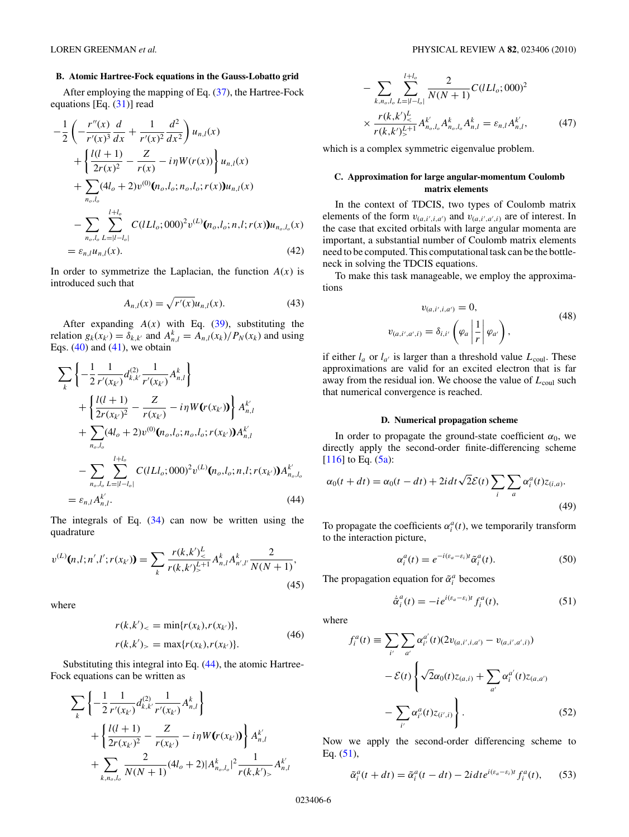#### <span id="page-5-0"></span>**B. Atomic Hartree-Fock equations in the Gauss-Lobatto grid**

After employing the mapping of Eq. [\(37\)](#page-4-0), the Hartree-Fock equations [Eq. [\(31\)](#page-4-0)] read

$$
-\frac{1}{2}\left(-\frac{r''(x)}{r'(x)^3}\frac{d}{dx} + \frac{1}{r'(x)^2}\frac{d^2}{dx^2}\right)u_{n,l}(x) +\left\{\frac{l(l+1)}{2r(x)^2} - \frac{Z}{r(x)} - i\eta W(r(x))\right\}u_{n,l}(x) +\sum_{n_o,l_o} (4l_o + 2)v^{(0)}(n_o, l_o; n_o, l_o; r(x))u_{n,l}(x) -\sum_{n_o,l_o} \sum_{L=|l-l_o|}^{l+l_o} C(lLl_o; 000)^2 v^{(L)}(n_o, l_o; n, l; r(x))u_{n_o, l_o}(x) = \varepsilon_{n,l}u_{n,l}(x).
$$
 (42)

In order to symmetrize the Laplacian, the function  $A(x)$  is introduced such that

$$
A_{n,l}(x) = \sqrt{r'(x)} u_{n,l}(x).
$$
 (43)

After expanding  $A(x)$  with Eq. [\(39\)](#page-4-0), substituting the relation  $g_k(x_{k'}) = \delta_{k,k'}$  and  $A_{n,l}^k = A_{n,l}(x_k)/P_N(x_k)$  and using Eqs.  $(40)$  and  $(41)$ , we obtain

$$
\sum_{k} \left\{ -\frac{1}{2} \frac{1}{r'(x_{k'})} d_{k,k'}^{(2)} \frac{1}{r'(x_{k'})} A_{n,l}^{k} \right\} \n+ \left\{ \frac{l(l+1)}{2r(x_{k'})^2} - \frac{Z}{r(x_{k'})} - i\eta W(r(x_{k})) \right\} A_{n,l}^{k'} \n+ \sum_{n_o,l_o} (4l_o + 2)v^{(0)}(n_o, l_o; n_o, l_o; r(x_{k})) A_{n,l}^{k'} \n- \sum_{n_o,l_o} \sum_{L=|l-l_o|}^{l+l_o} C(lLl_o; 000)^2 v^{(L)}(n_o, l_o; n, l; r(x_{k})) A_{n_o,l_o}^{k'} \n= \varepsilon_{n,l} A_{n,l}^{k'}.
$$
\n(44)

The integrals of Eq.  $(34)$  can now be written using the quadrature

$$
v^{(L)}(n,l;n',l';r(x_{k'}) ) = \sum_{k} \frac{r(k,k')_{\le}^L}{r(k,k')_{\ge}^{L+1}} A_{n,l}^k A_{n',l'}^k \frac{2}{N(N+1)},
$$
\n(45)

where

$$
r(k, k')_{<} = \min\{r(x_k), r(x_{k'})\},
$$
  
\n
$$
r(k, k')_{>} = \max\{r(x_k), r(x_{k'})\}.
$$
\n(46)

Substituting this integral into Eq. (44), the atomic Hartree-Fock equations can be written as

$$
\sum_{k} \left\{ -\frac{1}{2} \frac{1}{r'(x_{k'})} d_{k,k' \ r'(x_{k'})}^{(2)} A_{n,l}^{k} \right\} + \left\{ \frac{l(l+1)}{2r(x_{k'})^2} - \frac{Z}{r(x_{k'})} - i\eta W(r(x_{k'})) \right\} A_{n,l}^{k'} + \sum_{k,n_o,l_o} \frac{2}{N(N+1)} (4l_o + 2) |A_{n_o,l_o}^{k}|^2 \frac{1}{r(k,k')_>} A_{n,l}^{k'}
$$

$$
- \sum_{k,n_o,l_o} \sum_{L=|l-l_o|}^{l+l_o} \frac{2}{N(N+1)} C(lLl_o; 000)^2
$$
  
 
$$
\times \frac{r(k, k')_{\leq}^L}{r(k, k')_{\geq}^{l+1}} A_{n_o,l_o}^{k'} A_{n_o,l_o}^{k} A_{n,l}^{k} = \varepsilon_{n,l} A_{n,l}^{k'},
$$
 (47)

which is a complex symmetric eigenvalue problem.

# **C. Approximation for large angular-momentum Coulomb matrix elements**

In the context of TDCIS, two types of Coulomb matrix elements of the form  $v_{(a,i',i,a')}$  and  $v_{(a,i',a',i')}$  are of interest. In the case that excited orbitals with large angular momenta are important, a substantial number of Coulomb matrix elements need to be computed. This computational task can be the bottleneck in solving the TDCIS equations.

To make this task manageable, we employ the approximations

$$
v_{(a,i',i,a')} = 0,
$$
  

$$
v_{(a,i',a',i)} = \delta_{i,i'} \left( \varphi_a \left| \frac{1}{r} \right| \varphi_{a'} \right),
$$
 (48)

if either  $l_a$  or  $l_{a'}$  is larger than a threshold value  $L_{\text{coul}}$ . These approximations are valid for an excited electron that is far away from the residual ion. We choose the value of  $L_{\text{coul}}$  such that numerical convergence is reached.

#### **D. Numerical propagation scheme**

In order to propagate the ground-state coefficient  $\alpha_0$ , we directly apply the second-order finite-differencing scheme  $[116]$  to Eq.  $(5a)$ :

$$
\alpha_0(t + dt) = \alpha_0(t - dt) + 2i dt \sqrt{2} \mathcal{E}(t) \sum_i \sum_a \alpha_i^a(t) z_{(i,a)}.
$$
\n(49)

To propagate the coefficients  $\alpha_i^a(t)$ , we temporarily transform to the interaction picture,

$$
\alpha_i^a(t) = e^{-i(\varepsilon_a - \varepsilon_i)t} \tilde{\alpha}_i^a(t). \tag{50}
$$

The propagation equation for  $\tilde{\alpha}_i^a$  becomes

$$
\dot{\tilde{\alpha}}_i^a(t) = -ie^{i(\varepsilon_a - \varepsilon_i)t} f_i^a(t),\tag{51}
$$

where

$$
f_i^a(t) \equiv \sum_{i'} \sum_{a'} \alpha_{i'}^{a'}(t) (2v_{(a,i',i,a')} - v_{(a,i',a',i)})
$$

$$
- \mathcal{E}(t) \left\{ \sqrt{2}\alpha_0(t) z_{(a,i)} + \sum_{a'} \alpha_i^{a'}(t) z_{(a,a')}
$$

$$
- \sum_{i'} \alpha_{i'}^{a}(t) z_{(i',i)} \right\}.
$$
(52)

Now we apply the second-order differencing scheme to Eq. (51),

$$
\tilde{\alpha}_i^a(t+dt) = \tilde{\alpha}_i^a(t-dt) - 2idte^{i(\varepsilon_a - \varepsilon_i)t} f_i^a(t), \qquad (53)
$$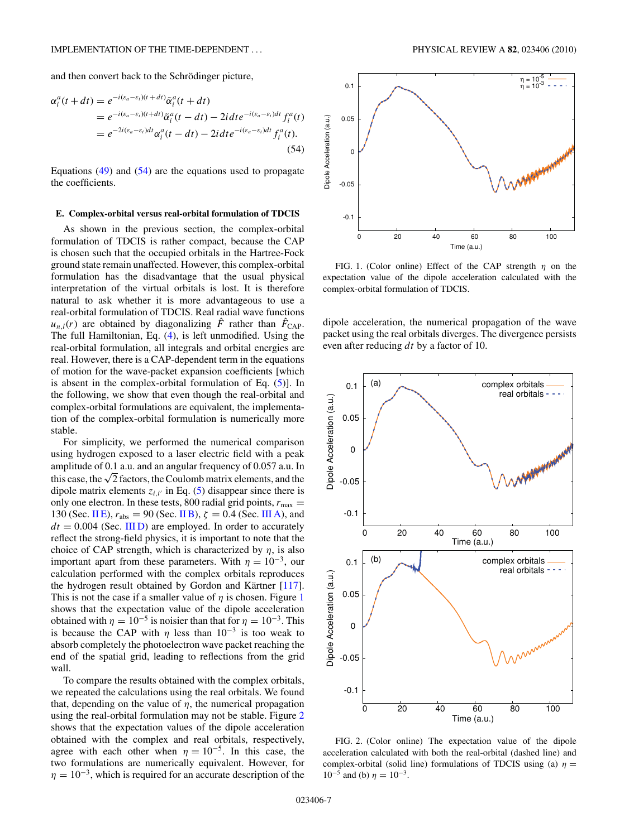<span id="page-6-0"></span>and then convert back to the Schrödinger picture,

$$
\alpha_i^a(t+dt) = e^{-i(\varepsilon_a - \varepsilon_i)(t+dt)} \tilde{\alpha}_i^a(t+dt)
$$
  
\n
$$
= e^{-i(\varepsilon_a - \varepsilon_i)(t+dt)} \tilde{\alpha}_i^a(t - dt) - 2idte^{-i(\varepsilon_a - \varepsilon_i)dt} f_i^a(t)
$$
  
\n
$$
= e^{-2i(\varepsilon_a - \varepsilon_i)dt} \alpha_i^a(t - dt) - 2idte^{-i(\varepsilon_a - \varepsilon_i)dt} f_i^a(t).
$$
\n(54)

Equations  $(49)$  and  $(54)$  are the equations used to propagate the coefficients.

#### **E. Complex-orbital versus real-orbital formulation of TDCIS**

As shown in the previous section, the complex-orbital formulation of TDCIS is rather compact, because the CAP is chosen such that the occupied orbitals in the Hartree-Fock ground state remain unaffected. However, this complex-orbital formulation has the disadvantage that the usual physical interpretation of the virtual orbitals is lost. It is therefore natural to ask whether it is more advantageous to use a real-orbital formulation of TDCIS. Real radial wave functions  $u_{n,l}(r)$  are obtained by diagonalizing  $\hat{F}$  rather than  $\hat{F}_{\text{CAP}}$ . The full Hamiltonian, Eq. [\(4\)](#page-1-0), is left unmodified. Using the real-orbital formulation, all integrals and orbital energies are real. However, there is a CAP-dependent term in the equations of motion for the wave-packet expansion coefficients [which is absent in the complex-orbital formulation of Eq. (5)]. In the following, we show that even though the real-orbital and complex-orbital formulations are equivalent, the implementation of the complex-orbital formulation is numerically more stable.

For simplicity, we performed the numerical comparison using hydrogen exposed to a laser electric field with a peak amplitude of 0.1 a.u. and an angular frequency of 0.057 a.u. In this case, the  $\sqrt{2}$  factors, the Coulomb matrix elements, and the dipole matrix elements  $z_{i,i'}$  in Eq. (5) disappear since there is only one electron. In these tests, 800 radial grid points,  $r_{\text{max}} =$ 130 (Sec. [II E\)](#page-3-0),  $r_{\text{abs}} = 90$  (Sec. [II B\)](#page-1-0),  $\zeta = 0.4$  (Sec. [III A\)](#page-4-0), and  $dt = 0.004$  (Sec. [III D\)](#page-5-0) are employed. In order to accurately reflect the strong-field physics, it is important to note that the choice of CAP strength, which is characterized by *η*, is also important apart from these parameters. With  $\eta = 10^{-3}$ , our calculation performed with the complex orbitals reproduces the hydrogen result obtained by Gordon and Kärtner  $[117]$  $[117]$ . This is not the case if a smaller value of  $\eta$  is chosen. Figure 1 shows that the expectation value of the dipole acceleration obtained with  $\eta = 10^{-5}$  is noisier than that for  $\eta = 10^{-3}$ . This is because the CAP with  $\eta$  less than 10<sup>-3</sup> is too weak to absorb completely the photoelectron wave packet reaching the end of the spatial grid, leading to reflections from the grid wall.

To compare the results obtained with the complex orbitals, we repeated the calculations using the real orbitals. We found that, depending on the value of  $\eta$ , the numerical propagation using the real-orbital formulation may not be stable. Figure 2 shows that the expectation values of the dipole acceleration obtained with the complex and real orbitals, respectively, agree with each other when  $\eta = 10^{-5}$ . In this case, the two formulations are numerically equivalent. However, for  $\eta = 10^{-3}$ , which is required for an accurate description of the



FIG. 1. (Color online) Effect of the CAP strength *η* on the expectation value of the dipole acceleration calculated with the complex-orbital formulation of TDCIS.

dipole acceleration, the numerical propagation of the wave packet using the real orbitals diverges. The divergence persists even after reducing *dt* by a factor of 10.



FIG. 2. (Color online) The expectation value of the dipole acceleration calculated with both the real-orbital (dashed line) and complex-orbital (solid line) formulations of TDCIS using (a)  $\eta$  =  $10^{-5}$  and (b)  $\eta = 10^{-3}$ .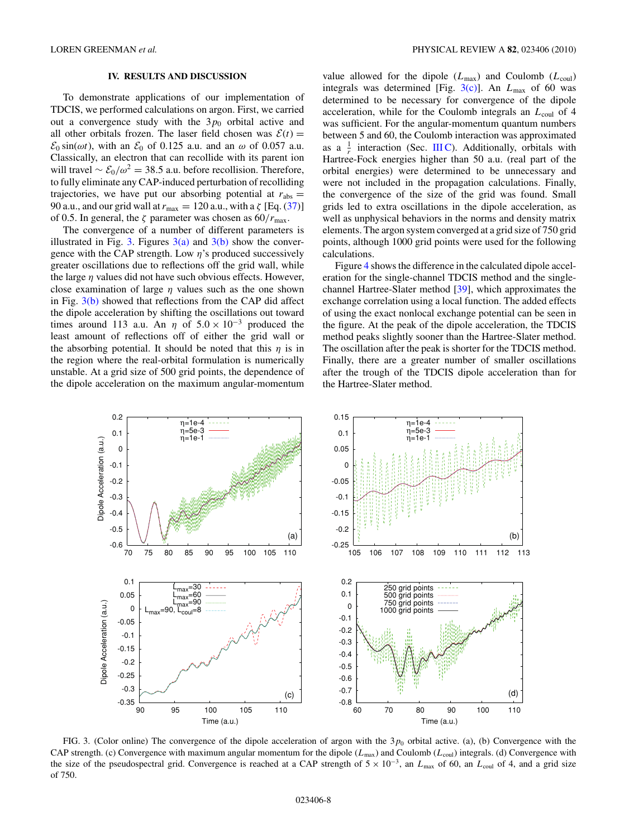### **IV. RESULTS AND DISCUSSION**

To demonstrate applications of our implementation of TDCIS, we performed calculations on argon. First, we carried out a convergence study with the  $3p_0$  orbital active and all other orbitals frozen. The laser field chosen was  $\mathcal{E}(t) =$  $\mathcal{E}_0$  sin( $\omega t$ ), with an  $\mathcal{E}_0$  of 0.125 a.u. and an  $\omega$  of 0.057 a.u. Classically, an electron that can recollide with its parent ion will travel  $\sim \mathcal{E}_0/\omega^2 = 38.5$  a.u. before recollision. Therefore, to fully eliminate any CAP-induced perturbation of recolliding trajectories, we have put our absorbing potential at  $r_{\text{abs}} =$ 90 a.u., and our grid wall at*r*max = 120 a.u., with a *ζ* [Eq. [\(37\)](#page-4-0)] of 0.5. In general, the *ζ* parameter was chosen as 60*/r*max.

The convergence of a number of different parameters is illustrated in Fig. 3. Figures  $3(a)$  and  $3(b)$  show the convergence with the CAP strength. Low *η*'s produced successively greater oscillations due to reflections off the grid wall, while the large *η* values did not have such obvious effects. However, close examination of large *η* values such as the one shown in Fig.  $3(b)$  showed that reflections from the CAP did affect the dipole acceleration by shifting the oscillations out toward times around 113 a.u. An  $\eta$  of  $5.0 \times 10^{-3}$  produced the least amount of reflections off of either the grid wall or the absorbing potential. It should be noted that this *η* is in the region where the real-orbital formulation is numerically unstable. At a grid size of 500 grid points, the dependence of the dipole acceleration on the maximum angular-momentum

value allowed for the dipole  $(L_{\text{max}})$  and Coulomb  $(L_{\text{coul}})$ integrals was determined [Fig.  $3(c)$ ]. An  $L_{\text{max}}$  of 60 was determined to be necessary for convergence of the dipole acceleration, while for the Coulomb integrals an *L*<sub>coul</sub> of 4 was sufficient. For the angular-momentum quantum numbers between 5 and 60, the Coulomb interaction was approximated as a  $\frac{1}{r}$  interaction (Sec. IIIC). Additionally, orbitals with Hartree-Fock energies higher than 50 a.u. (real part of the orbital energies) were determined to be unnecessary and were not included in the propagation calculations. Finally, the convergence of the size of the grid was found. Small grids led to extra oscillations in the dipole acceleration, as well as unphysical behaviors in the norms and density matrix elements. The argon system converged at a grid size of 750 grid points, although 1000 grid points were used for the following calculations.

Figure [4](#page-8-0) shows the difference in the calculated dipole acceleration for the single-channel TDCIS method and the singlechannel Hartree-Slater method [\[39\]](#page-10-0), which approximates the exchange correlation using a local function. The added effects of using the exact nonlocal exchange potential can be seen in the figure. At the peak of the dipole acceleration, the TDCIS method peaks slightly sooner than the Hartree-Slater method. The oscillation after the peak is shorter for the TDCIS method. Finally, there are a greater number of smaller oscillations after the trough of the TDCIS dipole acceleration than for the Hartree-Slater method.



FIG. 3. (Color online) The convergence of the dipole acceleration of argon with the  $3p_0$  orbital active. (a), (b) Convergence with the CAP strength. (c) Convergence with maximum angular momentum for the dipole ( $L_{\text{max}}$ ) and Coulomb ( $L_{\text{coul}}$ ) integrals. (d) Convergence with the size of the pseudospectral grid. Convergence is reached at a CAP strength of  $5 \times 10^{-3}$ , an  $L_{\text{max}}$  of 60, an  $L_{\text{coul}}$  of 4, and a grid size of 750.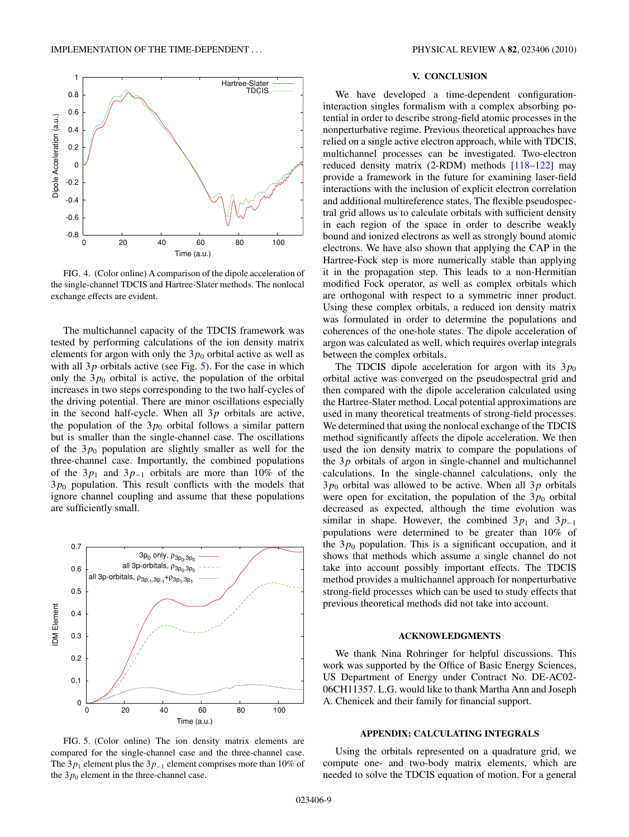<span id="page-8-0"></span>

FIG. 4. (Color online) A comparison of the dipole acceleration of the single-channel TDCIS and Hartree-Slater methods. The nonlocal exchange effects are evident.

The multichannel capacity of the TDCIS framework was tested by performing calculations of the ion density matrix elements for argon with only the  $3p_0$  orbital active as well as with all  $3p$  orbitals active (see Fig. 5). For the case in which only the  $3p_0$  orbital is active, the population of the orbital increases in two steps corresponding to the two half-cycles of the driving potential. There are minor oscillations especially in the second half-cycle. When all 3*p* orbitals are active, the population of the  $3p_0$  orbital follows a similar pattern but is smaller than the single-channel case. The oscillations of the  $3p_0$  population are slightly smaller as well for the three-channel case. Importantly, the combined populations of the 3*p*<sup>1</sup> and 3*p*−<sup>1</sup> orbitals are more than 10% of the  $3p_0$  population. This result conflicts with the models that ignore channel coupling and assume that these populations are sufficiently small.



FIG. 5. (Color online) The ion density matrix elements are compared for the single-channel case and the three-channel case. The 3 $p_1$  element plus the 3 $p_{-1}$  element comprises more than 10% of the  $3p_0$  element in the three-channel case.

### **V. CONCLUSION**

We have developed a time-dependent configurationinteraction singles formalism with a complex absorbing potential in order to describe strong-field atomic processes in the nonperturbative regime. Previous theoretical approaches have relied on a single active electron approach, while with TDCIS, multichannel processes can be investigated. Two-electron reduced density matrix (2-RDM) methods [\[118–122\]](#page-11-0) may provide a framework in the future for examining laser-field interactions with the inclusion of explicit electron correlation and additional multireference states. The flexible pseudospectral grid allows us to calculate orbitals with sufficient density in each region of the space in order to describe weakly bound and ionized electrons as well as strongly bound atomic electrons. We have also shown that applying the CAP in the Hartree-Fock step is more numerically stable than applying it in the propagation step. This leads to a non-Hermitian modified Fock operator, as well as complex orbitals which are orthogonal with respect to a symmetric inner product. Using these complex orbitals, a reduced ion density matrix was formulated in order to determine the populations and coherences of the one-hole states. The dipole acceleration of argon was calculated as well, which requires overlap integrals between the complex orbitals.

The TDCIS dipole acceleration for argon with its  $3p_0$ orbital active was converged on the pseudospectral grid and then compared with the dipole acceleration calculated using the Hartree-Slater method. Local potential approximations are used in many theoretical treatments of strong-field processes. We determined that using the nonlocal exchange of the TDCIS method significantly affects the dipole acceleration. We then used the ion density matrix to compare the populations of the 3*p* orbitals of argon in single-channel and multichannel calculations. In the single-channel calculations, only the  $3p_0$  orbital was allowed to be active. When all  $3p$  orbitals were open for excitation, the population of the  $3p_0$  orbital decreased as expected, although the time evolution was similar in shape. However, the combined  $3p_1$  and  $3p_{-1}$ populations were determined to be greater than 10% of the  $3p_0$  population. This is a significant occupation, and it shows that methods which assume a single channel do not take into account possibly important effects. The TDCIS method provides a multichannel approach for nonperturbative strong-field processes which can be used to study effects that previous theoretical methods did not take into account.

#### **ACKNOWLEDGMENTS**

We thank Nina Rohringer for helpful discussions. This work was supported by the Office of Basic Energy Sciences, US Department of Energy under Contract No. DE-AC02- 06CH11357. L.G. would like to thank Martha Ann and Joseph A. Chenicek and their family for financial support.

### **APPENDIX: CALCULATING INTEGRALS**

Using the orbitals represented on a quadrature grid, we compute one- and two-body matrix elements, which are needed to solve the TDCIS equation of motion. For a general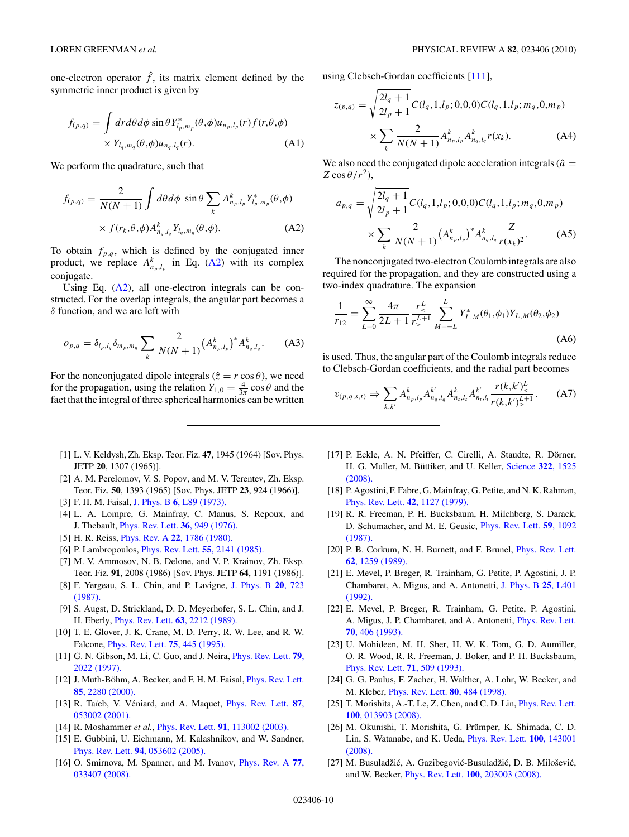<span id="page-9-0"></span>one-electron operator  $\hat{f}$ , its matrix element defined by the symmetric inner product is given by

$$
f_{(p,q)} = \int dr d\theta d\phi \sin \theta Y_{l_p,m_p}^*(\theta, \phi) u_{n_p,l_p}(r) f(r, \theta, \phi)
$$
  
 
$$
\times Y_{l_q,m_q}(\theta, \phi) u_{n_q,l_q}(r).
$$
 (A1)

We perform the quadrature, such that

$$
f_{(p,q)} = \frac{2}{N(N+1)} \int d\theta d\phi \sin\theta \sum_{k} A_{n_p,l_p}^{k} Y_{l_p,m_p}^{*}(\theta, \phi)
$$

$$
\times f(r_k, \theta, \phi) A_{n_q,l_q}^{k} Y_{l_q,m_q}(\theta, \phi). \tag{A2}
$$

To obtain  $f_{p,q}$ , which is defined by the conjugated inner product, we replace  $A_{n_p,l_p}^k$  in Eq. (A2) with its complex conjugate.

Using Eq. (A2), all one-electron integrals can be constructed. For the overlap integrals, the angular part becomes a *δ* function, and we are left with

$$
o_{p,q} = \delta_{l_p,l_q} \delta_{m_p,m_q} \sum_{k} \frac{2}{N(N+1)} (A_{n_p,l_p}^k)^* A_{n_q,l_q}^k.
$$
 (A3)

For the nonconjugated dipole integrals ( $\hat{z} = r \cos \theta$ ), we need for the propagation, using the relation  $Y_{1,0} = \frac{4}{3\pi} \cos \theta$  and the fact that the integral of three spherical harmonics can be written

- [1] L. V. Keldysh, Zh. Eksp. Teor. Fiz. **47**, 1945 (1964) [Sov. Phys. JETP **20**, 1307 (1965)].
- [2] A. M. Perelomov, V. S. Popov, and M. V. Terentev, Zh. Eksp. Teor. Fiz. **50**, 1393 (1965) [Sov. Phys. JETP **23**, 924 (1966)].
- [3] F. H. M. Faisal, J. Phys. B **6**[, L89 \(1973\).](http://dx.doi.org/10.1088/0022-3700/6/4/011)
- [4] L. A. Lompre, G. Mainfray, C. Manus, S. Repoux, and J. Thebault, [Phys. Rev. Lett.](http://dx.doi.org/10.1103/PhysRevLett.36.949) **36**, 949 (1976).
- [5] H. R. Reiss, Phys. Rev. A **22**[, 1786 \(1980\).](http://dx.doi.org/10.1103/PhysRevA.22.1786)
- [6] P. Lambropoulos, [Phys. Rev. Lett.](http://dx.doi.org/10.1103/PhysRevLett.55.2141) **55**, 2141 (1985).
- [7] M. V. Ammosov, N. B. Delone, and V. P. Krainov, Zh. Eksp. Teor. Fiz. **91**, 2008 (1986) [Sov. Phys. JETP **64**, 1191 (1986)].
- [8] F. Yergeau, S. L. Chin, and P. Lavigne, [J. Phys. B](http://dx.doi.org/10.1088/0022-3700/20/4/013) **20**, 723 [\(1987\).](http://dx.doi.org/10.1088/0022-3700/20/4/013)
- [9] S. Augst, D. Strickland, D. D. Meyerhofer, S. L. Chin, and J. H. Eberly, [Phys. Rev. Lett.](http://dx.doi.org/10.1103/PhysRevLett.63.2212) **63**, 2212 (1989).
- [10] T. E. Glover, J. K. Crane, M. D. Perry, R. W. Lee, and R. W. Falcone, [Phys. Rev. Lett.](http://dx.doi.org/10.1103/PhysRevLett.75.445) **75**, 445 (1995).
- [11] G. N. Gibson, M. Li, C. Guo, and J. Neira, [Phys. Rev. Lett.](http://dx.doi.org/10.1103/PhysRevLett.79.2022) **79**, [2022 \(1997\).](http://dx.doi.org/10.1103/PhysRevLett.79.2022)
- [12] J. Muth-Böhm, A. Becker, and F. H. M. Faisal, *[Phys. Rev. Lett.](http://dx.doi.org/10.1103/PhysRevLett.85.2280)* **85**[, 2280 \(2000\).](http://dx.doi.org/10.1103/PhysRevLett.85.2280)
- [13] R. Taïeb, V. Véniard, and A. Maquet, *[Phys. Rev. Lett.](http://dx.doi.org/10.1103/PhysRevLett.87.053002)* **87**, [053002 \(2001\).](http://dx.doi.org/10.1103/PhysRevLett.87.053002)
- [14] R. Moshammer *et al.*, Phys. Rev. Lett. **91**[, 113002 \(2003\).](http://dx.doi.org/10.1103/PhysRevLett.91.113002)
- [15] E. Gubbini, U. Eichmann, M. Kalashnikov, and W. Sandner, Phys. Rev. Lett. **94**[, 053602 \(2005\).](http://dx.doi.org/10.1103/PhysRevLett.94.053602)
- [16] O. Smirnova, M. Spanner, and M. Ivanov, [Phys. Rev. A](http://dx.doi.org/10.1103/PhysRevA.77.033407) **77**, [033407 \(2008\).](http://dx.doi.org/10.1103/PhysRevA.77.033407)

using Clebsch-Gordan coefficients [\[111\]](#page-11-0),

$$
z_{(p,q)} = \sqrt{\frac{2l_q + 1}{2l_p + 1}} C(l_q, 1, l_p; 0, 0, 0) C(l_q, 1, l_p; m_q, 0, m_p)
$$

$$
\times \sum_{k} \frac{2}{N(N+1)} A^{k}_{n_p, l_p} A^{k}_{n_q, l_q} r(x_k). \tag{A4}
$$

We also need the conjugated dipole acceleration integrals ( $\hat{a}$  =  $Z \cos \theta / r^2$ ),

$$
a_{p,q} = \sqrt{\frac{2l_q + 1}{2l_p + 1}} C(l_q, 1, l_p; 0, 0, 0) C(l_q, 1, l_p; m_q, 0, m_p)
$$

$$
\times \sum_{k} \frac{2}{N(N+1)} (A_{n_p, l_p}^k)^* A_{n_q, l_q}^k \frac{Z}{r(x_k)^2}.
$$
 (A5)

The nonconjugated two-electron Coulomb integrals are also required for the propagation, and they are constructed using a two-index quadrature. The expansion

$$
\frac{1}{r_{12}} = \sum_{L=0}^{\infty} \frac{4\pi}{2L+1} \frac{r_L}{r_>^{L+1}} \sum_{M=-L}^{L} Y_{L,M}^*(\theta_1, \phi_1) Y_{L,M}(\theta_2, \phi_2)
$$
\n(A6)

is used. Thus, the angular part of the Coulomb integrals reduce to Clebsch-Gordan coefficients, and the radial part becomes

$$
v_{(p,q,s,t)} \Rightarrow \sum_{k,k'} A^k_{n_p,l_p} A^{k'}_{n_q,l_q} A^k_{n_s,l_s} A^{k'}_{n_t,l_t} \frac{r(k,k')^L_<}{r(k,k')^{L+1}}.
$$
 (A7)

- [17] P. Eckle, A. N. Pfeiffer, C. Cirelli, A. Staudte, R. Dörner, H. G. Muller, M. Büttiker, and U. Keller, [Science](http://dx.doi.org/10.1126/science.1163439) 322, 1525  $(2008)$
- [18] P. Agostini, F. Fabre, G. Mainfray, G. Petite, and N. K. Rahman, [Phys. Rev. Lett.](http://dx.doi.org/10.1103/PhysRevLett.42.1127) **42**, 1127 (1979).
- [19] R. R. Freeman, P. H. Bucksbaum, H. Milchberg, S. Darack, D. Schumacher, and M. E. Geusic, [Phys. Rev. Lett.](http://dx.doi.org/10.1103/PhysRevLett.59.1092) **59**, 1092 [\(1987\).](http://dx.doi.org/10.1103/PhysRevLett.59.1092)
- [20] P. B. Corkum, N. H. Burnett, and F. Brunel, *[Phys. Rev. Lett.](http://dx.doi.org/10.1103/PhysRevLett.62.1259)* **62**[, 1259 \(1989\).](http://dx.doi.org/10.1103/PhysRevLett.62.1259)
- [21] E. Mevel, P. Breger, R. Trainham, G. Petite, P. Agostini, J. P. Chambaret, A. Migus, and A. Antonetti, [J. Phys. B](http://dx.doi.org/10.1088/0953-4075/25/17/001) **25**, L401 [\(1992\).](http://dx.doi.org/10.1088/0953-4075/25/17/001)
- [22] E. Mevel, P. Breger, R. Trainham, G. Petite, P. Agostini, A. Migus, J. P. Chambaret, and A. Antonetti, [Phys. Rev. Lett.](http://dx.doi.org/10.1103/PhysRevLett.70.406) **70**[, 406 \(1993\).](http://dx.doi.org/10.1103/PhysRevLett.70.406)
- [23] U. Mohideen, M. H. Sher, H. W. K. Tom, G. D. Aumiller, O. R. Wood, R. R. Freeman, J. Boker, and P. H. Bucksbaum, [Phys. Rev. Lett.](http://dx.doi.org/10.1103/PhysRevLett.71.509) **71**, 509 (1993).
- [24] G. G. Paulus, F. Zacher, H. Walther, A. Lohr, W. Becker, and M. Kleber, [Phys. Rev. Lett.](http://dx.doi.org/10.1103/PhysRevLett.80.484) **80**, 484 (1998).
- [25] T. Morishita, A.-T. Le, Z. Chen, and C. D. Lin, *[Phys. Rev. Lett.](http://dx.doi.org/10.1103/PhysRevLett.100.013903)* **100**[, 013903 \(2008\).](http://dx.doi.org/10.1103/PhysRevLett.100.013903)
- [26] M. Okunishi, T. Morishita, G. Prümper, K. Shimada, C. D. Lin, S. Watanabe, and K. Ueda, [Phys. Rev. Lett.](http://dx.doi.org/10.1103/PhysRevLett.100.143001) **100**, 143001 [\(2008\).](http://dx.doi.org/10.1103/PhysRevLett.100.143001)
- [27] M. Busuladžić, A. Gazibegović-Busuladžić, D. B. Milošević, and W. Becker, Phys. Rev. Lett. **100**[, 203003 \(2008\).](http://dx.doi.org/10.1103/PhysRevLett.100.203003)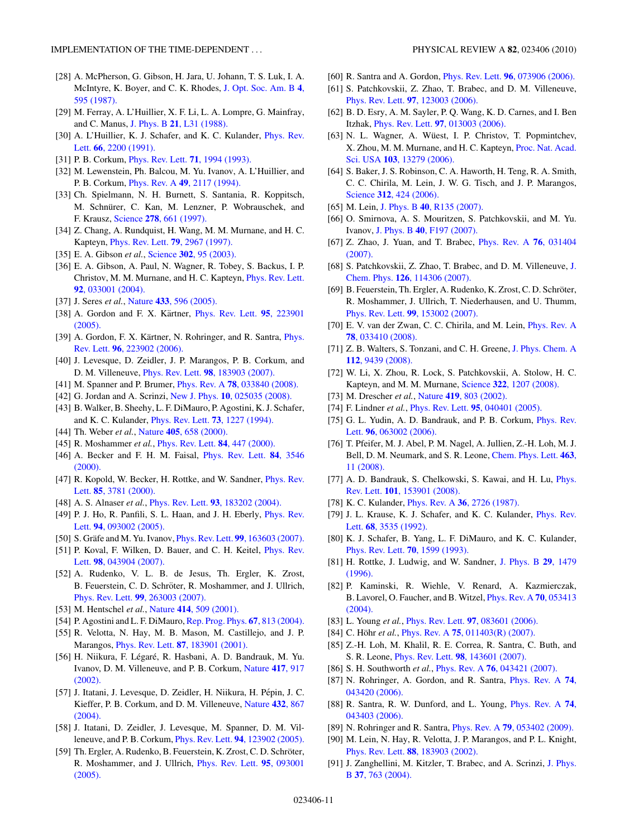- <span id="page-10-0"></span>[28] A. McPherson, G. Gibson, H. Jara, U. Johann, T. S. Luk, I. A. McIntyre, K. Boyer, and C. K. Rhodes, [J. Opt. Soc. Am. B](http://dx.doi.org/10.1364/JOSAB.4.000595) **4**, [595 \(1987\).](http://dx.doi.org/10.1364/JOSAB.4.000595)
- [29] M. Ferray, A. L'Huillier, X. F. Li, L. A. Lompre, G. Mainfray, and C. Manus, J. Phys. B **21**[, L31 \(1988\).](http://dx.doi.org/10.1088/0953-4075/21/3/001)
- [30] A. L'Huillier, K. J. Schafer, and K. C. Kulander, *[Phys. Rev.](http://dx.doi.org/10.1103/PhysRevLett.66.2200)* Lett. **66**[, 2200 \(1991\).](http://dx.doi.org/10.1103/PhysRevLett.66.2200)
- [31] P. B. Corkum, [Phys. Rev. Lett.](http://dx.doi.org/10.1103/PhysRevLett.71.1994) **71**, 1994 (1993).
- [32] M. Lewenstein, Ph. Balcou, M. Yu. Ivanov, A. L'Huillier, and P. B. Corkum, Phys. Rev. A **49**[, 2117 \(1994\).](http://dx.doi.org/10.1103/PhysRevA.49.2117)
- [33] Ch. Spielmann, N. H. Burnett, S. Santania, R. Koppitsch, M. Schnürer, C. Kan, M. Lenzner, P. Wobrauschek, and F. Krausz, Science **278**[, 661 \(1997\).](http://dx.doi.org/10.1126/science.278.5338.661)
- [34] Z. Chang, A. Rundquist, H. Wang, M. M. Murnane, and H. C. Kapteyn, [Phys. Rev. Lett.](http://dx.doi.org/10.1103/PhysRevLett.79.2967) **79**, 2967 (1997).
- [35] E. A. Gibson *et al.*, Science **302**[, 95 \(2003\).](http://dx.doi.org/10.1126/science.1088654)
- [36] E. A. Gibson, A. Paul, N. Wagner, R. Tobey, S. Backus, I. P. Christov, M. M. Murnane, and H. C. Kapteyn, [Phys. Rev. Lett.](http://dx.doi.org/10.1103/PhysRevLett.92.033001) **92**[, 033001 \(2004\).](http://dx.doi.org/10.1103/PhysRevLett.92.033001)
- [37] J. Seres *et al.*, Nature **433**[, 596 \(2005\).](http://dx.doi.org/10.1038/433596a)
- [38] A. Gordon and F. X. Kärtner, *[Phys. Rev. Lett.](http://dx.doi.org/10.1103/PhysRevLett.95.223901)* **95**, 223901 [\(2005\).](http://dx.doi.org/10.1103/PhysRevLett.95.223901)
- [39] A. Gordon, F. X. Kärtner, N. Rohringer, and R. Santra, *[Phys.](http://dx.doi.org/10.1103/PhysRevLett.96.223902)* Rev. Lett. **96**[, 223902 \(2006\).](http://dx.doi.org/10.1103/PhysRevLett.96.223902)
- [40] J. Levesque, D. Zeidler, J. P. Marangos, P. B. Corkum, and D. M. Villeneuve, Phys. Rev. Lett. **98**[, 183903 \(2007\).](http://dx.doi.org/10.1103/PhysRevLett.98.183903)
- [41] M. Spanner and P. Brumer, Phys. Rev. A **78**[, 033840 \(2008\).](http://dx.doi.org/10.1103/PhysRevA.78.033840)
- [42] G. Jordan and A. Scrinzi, New J. Phys. **10**[, 025035 \(2008\).](http://dx.doi.org/10.1088/1367-2630/10/2/025035)
- [43] B. Walker, B. Sheehy, L. F. DiMauro, P. Agostini, K. J. Schafer, and K. C. Kulander, [Phys. Rev. Lett.](http://dx.doi.org/10.1103/PhysRevLett.73.1227) **73**, 1227 (1994).
- [44] Th. Weber *et al.*, Nature **405**[, 658 \(2000\).](http://dx.doi.org/10.1038/35015033)
- [45] R. Moshammer *et al.*, [Phys. Rev. Lett.](http://dx.doi.org/10.1103/PhysRevLett.84.447) **84**, 447 (2000).
- [46] A. Becker and F. H. M. Faisal, [Phys. Rev. Lett.](http://dx.doi.org/10.1103/PhysRevLett.84.3546) **84**, 3546 [\(2000\).](http://dx.doi.org/10.1103/PhysRevLett.84.3546)
- [47] R. Kopold, W. Becker, H. Rottke, and W. Sandner, *[Phys. Rev.](http://dx.doi.org/10.1103/PhysRevLett.85.3781)* Lett. **85**[, 3781 \(2000\).](http://dx.doi.org/10.1103/PhysRevLett.85.3781)
- [48] A. S. Alnaser *et al.*, Phys. Rev. Lett. **93**[, 183202 \(2004\).](http://dx.doi.org/10.1103/PhysRevLett.93.183202)
- [49] P. J. Ho, R. Panfili, S. L. Haan, and J. H. Eberly, [Phys. Rev.](http://dx.doi.org/10.1103/PhysRevLett.94.093002) Lett. **94**[, 093002 \(2005\).](http://dx.doi.org/10.1103/PhysRevLett.94.093002)
- [50] S. Gräfe and M. Yu. Ivanov, *Phys. Rev. Lett.* **99**[, 163603 \(2007\).](http://dx.doi.org/10.1103/PhysRevLett.99.163603)
- [51] P. Koval, F. Wilken, D. Bauer, and C. H. Keitel, [Phys. Rev.](http://dx.doi.org/10.1103/PhysRevLett.98.043904) Lett. **98**[, 043904 \(2007\).](http://dx.doi.org/10.1103/PhysRevLett.98.043904)
- [52] A. Rudenko, V. L. B. de Jesus, Th. Ergler, K. Zrost, B. Feuerstein, C. D. Schröter, R. Moshammer, and J. Ullrich, Phys. Rev. Lett. **99**[, 263003 \(2007\).](http://dx.doi.org/10.1103/PhysRevLett.99.263003)
- [53] M. Hentschel *et al.*, Nature **414**[, 509 \(2001\).](http://dx.doi.org/10.1038/35107000)
- [54] P. Agostini and L. F. DiMauro, [Rep. Prog. Phys.](http://dx.doi.org/10.1088/0034-4885/67/6/R01) **67**, 813 (2004).
- [55] R. Velotta, N. Hay, M. B. Mason, M. Castillejo, and J. P. Marangos, Phys. Rev. Lett. **87**[, 183901 \(2001\).](http://dx.doi.org/10.1103/PhysRevLett.87.183901)
- [56] H. Niikura, F. Légaré, R. Hasbani, A. D. Bandrauk, M. Yu. Ivanov, D. M. Villeneuve, and P. B. Corkum, [Nature](http://dx.doi.org/10.1038/nature00787) **417**, 917 [\(2002\).](http://dx.doi.org/10.1038/nature00787)
- [57] J. Itatani, J. Levesque, D. Zeidler, H. Niikura, H. Pépin, J. C. Kieffer, P. B. Corkum, and D. M. Villeneuve, [Nature](http://dx.doi.org/10.1038/nature03183) **432**, 867 [\(2004\).](http://dx.doi.org/10.1038/nature03183)
- [58] J. Itatani, D. Zeidler, J. Levesque, M. Spanner, D. M. Villeneuve, and P. B. Corkum, Phys. Rev. Lett. **94**[, 123902 \(2005\).](http://dx.doi.org/10.1103/PhysRevLett.94.123902)
- [59] Th. Ergler, A. Rudenko, B. Feuerstein, K. Zrost, C. D. Schroter, ¨ R. Moshammer, and J. Ullrich, [Phys. Rev. Lett.](http://dx.doi.org/10.1103/PhysRevLett.95.093001) **95**, 093001 [\(2005\).](http://dx.doi.org/10.1103/PhysRevLett.95.093001)
- [60] R. Santra and A. Gordon, Phys. Rev. Lett. **96**[, 073906 \(2006\).](http://dx.doi.org/10.1103/PhysRevLett.96.073906)
- [61] S. Patchkovskii, Z. Zhao, T. Brabec, and D. M. Villeneuve, Phys. Rev. Lett. **97**[, 123003 \(2006\).](http://dx.doi.org/10.1103/PhysRevLett.97.123003)
- [62] B. D. Esry, A. M. Sayler, P. Q. Wang, K. D. Carnes, and I. Ben Itzhak, Phys. Rev. Lett. **97**[, 013003 \(2006\).](http://dx.doi.org/10.1103/PhysRevLett.97.013003)
- [63] N. L. Wagner, A. Wüest, I. P. Christov, T. Popmintchev, X. Zhou, M. M. Murnane, and H. C. Kapteyn, [Proc. Nat. Acad.](http://dx.doi.org/10.1073/pnas.0605178103) Sci. USA **103**[, 13279 \(2006\).](http://dx.doi.org/10.1073/pnas.0605178103)
- [64] S. Baker, J. S. Robinson, C. A. Haworth, H. Teng, R. A. Smith, C. C. Chirila, M. Lein, J. W. G. Tisch, and J. P. Marangos, Science **312**[, 424 \(2006\).](http://dx.doi.org/10.1126/science.1123904)
- [65] M. Lein, J. Phys. B **40**[, R135 \(2007\).](http://dx.doi.org/10.1088/0953-4075/40/16/R01)
- [66] O. Smirnova, A. S. Mouritzen, S. Patchkovskii, and M. Yu. Ivanov, J. Phys. B **40**[, F197 \(2007\).](http://dx.doi.org/10.1088/0953-4075/40/13/F01)
- [67] Z. Zhao, J. Yuan, and T. Brabec, [Phys. Rev. A](http://dx.doi.org/10.1103/PhysRevA.76.031404) **76**, 031404 [\(2007\).](http://dx.doi.org/10.1103/PhysRevA.76.031404)
- [68] S. Patchkovskii, Z. Zhao, T. Brabec, and D. M. Villeneuve, [J.](http://dx.doi.org/10.1063/1.2711809) Chem. Phys. **126**[, 114306 \(2007\).](http://dx.doi.org/10.1063/1.2711809)
- [69] B. Feuerstein, Th. Ergler, A. Rudenko, K. Zrost, C. D. Schröter, R. Moshammer, J. Ullrich, T. Niederhausen, and U. Thumm, Phys. Rev. Lett. **99**[, 153002 \(2007\).](http://dx.doi.org/10.1103/PhysRevLett.99.153002)
- [70] E. V. van der Zwan, C. C. Chirila, and M. Lein, [Phys. Rev. A](http://dx.doi.org/10.1103/PhysRevA.78.033410) **78**[, 033410 \(2008\).](http://dx.doi.org/10.1103/PhysRevA.78.033410)
- [71] Z. B. Walters, S. Tonzani, and C. H. Greene, [J. Phys. Chem. A](http://dx.doi.org/10.1021/jp8031226) **112**[, 9439 \(2008\).](http://dx.doi.org/10.1021/jp8031226)
- [72] W. Li, X. Zhou, R. Lock, S. Patchkovskii, A. Stolow, H. C. Kapteyn, and M. M. Murnane, Science **322**[, 1207 \(2008\).](http://dx.doi.org/10.1126/science.1163077)
- [73] M. Drescher *et al.*, Nature **419**[, 803 \(2002\).](http://dx.doi.org/10.1038/nature01143)
- [74] F. Lindner *et al.*, Phys. Rev. Lett. **95**[, 040401 \(2005\).](http://dx.doi.org/10.1103/PhysRevLett.95.040401)
- [75] G. L. Yudin, A. D. Bandrauk, and P. B. Corkum, *[Phys. Rev.](http://dx.doi.org/10.1103/PhysRevLett.96.063002)* Lett. **96**[, 063002 \(2006\).](http://dx.doi.org/10.1103/PhysRevLett.96.063002)
- [76] T. Pfeifer, M. J. Abel, P. M. Nagel, A. Jullien, Z.-H. Loh, M. J. Bell, D. M. Neumark, and S. R. Leone, [Chem. Phys. Lett.](http://dx.doi.org/10.1016/j.cplett.2008.08.059) **463**, [11 \(2008\).](http://dx.doi.org/10.1016/j.cplett.2008.08.059)
- [77] A. D. Bandrauk, S. Chelkowski, S. Kawai, and H. Lu, *[Phys.](http://dx.doi.org/10.1103/PhysRevLett.101.153901)* Rev. Lett. **101**[, 153901 \(2008\).](http://dx.doi.org/10.1103/PhysRevLett.101.153901)
- [78] K. C. Kulander, Phys. Rev. A **36**[, 2726 \(1987\).](http://dx.doi.org/10.1103/PhysRevA.36.2726)
- [79] J. L. Krause, K. J. Schafer, and K. C. Kulander, [Phys. Rev.](http://dx.doi.org/10.1103/PhysRevLett.68.3535) Lett. **68**[, 3535 \(1992\).](http://dx.doi.org/10.1103/PhysRevLett.68.3535)
- [80] K. J. Schafer, B. Yang, L. F. DiMauro, and K. C. Kulander, [Phys. Rev. Lett.](http://dx.doi.org/10.1103/PhysRevLett.70.1599) **70**, 1599 (1993).
- [81] H. Rottke, J. Ludwig, and W. Sandner, [J. Phys. B](http://dx.doi.org/10.1088/0953-4075/29/8/012) **29**, 1479 [\(1996\).](http://dx.doi.org/10.1088/0953-4075/29/8/012)
- [82] P. Kaminski, R. Wiehle, V. Renard, A. Kazmierczak, B. Lavorel, O. Faucher, and B. Witzel, [Phys. Rev. A](http://dx.doi.org/10.1103/PhysRevA.70.053413) **70**, 053413 [\(2004\).](http://dx.doi.org/10.1103/PhysRevA.70.053413)
- [83] L. Young *et al.*, Phys. Rev. Lett. **97**[, 083601 \(2006\).](http://dx.doi.org/10.1103/PhysRevLett.97.083601)
- [84] C. Höhr *et al.*, *Phys. Rev. A* **75**, 011403(*R*) (2007).
- [85] Z.-H. Loh, M. Khalil, R. E. Correa, R. Santra, C. Buth, and S. R. Leone, Phys. Rev. Lett. **98**[, 143601 \(2007\).](http://dx.doi.org/10.1103/PhysRevLett.98.143601)
- [86] S. H. Southworth *et al.*, Phys. Rev. A **76**[, 043421 \(2007\).](http://dx.doi.org/10.1103/PhysRevA.76.043421)
- [87] N. Rohringer, A. Gordon, and R. Santra, [Phys. Rev. A](http://dx.doi.org/10.1103/PhysRevA.74.043420) **74**, [043420 \(2006\).](http://dx.doi.org/10.1103/PhysRevA.74.043420)
- [88] R. Santra, R. W. Dunford, and L. Young, [Phys. Rev. A](http://dx.doi.org/10.1103/PhysRevA.74.043403) **74**, [043403 \(2006\).](http://dx.doi.org/10.1103/PhysRevA.74.043403)
- [89] N. Rohringer and R. Santra, Phys. Rev. A **79**[, 053402 \(2009\).](http://dx.doi.org/10.1103/PhysRevA.79.053402)
- [90] M. Lein, N. Hay, R. Velotta, J. P. Marangos, and P. L. Knight, Phys. Rev. Lett. **88**[, 183903 \(2002\).](http://dx.doi.org/10.1103/PhysRevLett.88.183903)
- [91] J. Zanghellini, M. Kitzler, T. Brabec, and A. Scrinzi, [J. Phys.](http://dx.doi.org/10.1088/0953-4075/37/4/004) B **37**[, 763 \(2004\).](http://dx.doi.org/10.1088/0953-4075/37/4/004)